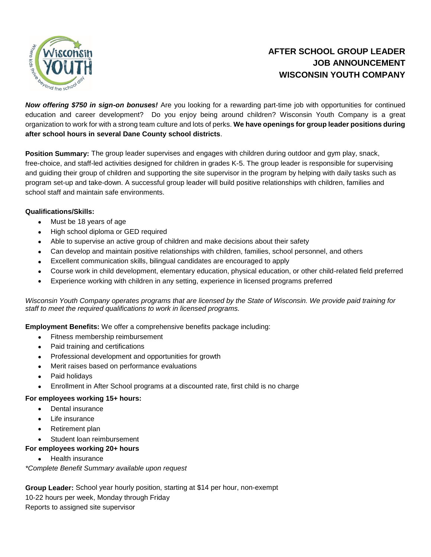

# **AFTER SCHOOL GROUP LEADER JOB ANNOUNCEMENT WISCONSIN YOUTH COMPANY**

*Now offering \$750 in sign-on bonuses!* Are you looking for a rewarding part-time job with opportunities for continued education and career development? Do you enjoy being around children? Wisconsin Youth Company is a great organization to work for with a strong team culture and lots of perks. **We have openings for group leader positions during after school hours in several Dane County school districts**.

**Position Summary:** The group leader supervises and engages with children during outdoor and gym play, snack, free-choice, and staff-led activities designed for children in grades K-5. The group leader is responsible for supervising and guiding their group of children and supporting the site supervisor in the program by helping with daily tasks such as program set-up and take-down. A successful group leader will build positive relationships with children, families and school staff and maintain safe environments.

## **Qualifications/Skills:**

- Must be 18 years of age
- High school diploma or GED required
- Able to supervise an active group of children and make decisions about their safety
- Can develop and maintain positive relationships with children, families, school personnel, and others
- Excellent communication skills, bilingual candidates are encouraged to apply
- Course work in child development, elementary education, physical education, or other child-related field preferred
- Experience working with children in any setting, experience in licensed programs preferred

*Wisconsin Youth Company operates programs that are licensed by the State of Wisconsin. We provide paid training for staff to meet the required qualifications to work in licensed programs.*

**Employment Benefits:** We offer a comprehensive benefits package including:

- Fitness membership reimbursement
- Paid training and certifications
- Professional development and opportunities for growth
- Merit raises based on performance evaluations
- Paid holidays
- Enrollment in After School programs at a discounted rate, first child is no charge

### **For employees working 15+ hours:**

- Dental insurance
- Life insurance
- Retirement plan
- Student loan reimbursement

### **For employees working 20+ hours**

Health insurance

*\*Complete Benefit Summary available upon request*

**Group Leader:** School year hourly position, starting at \$14 per hour, non-exempt 10-22 hours per week, Monday through Friday Reports to assigned site supervisor